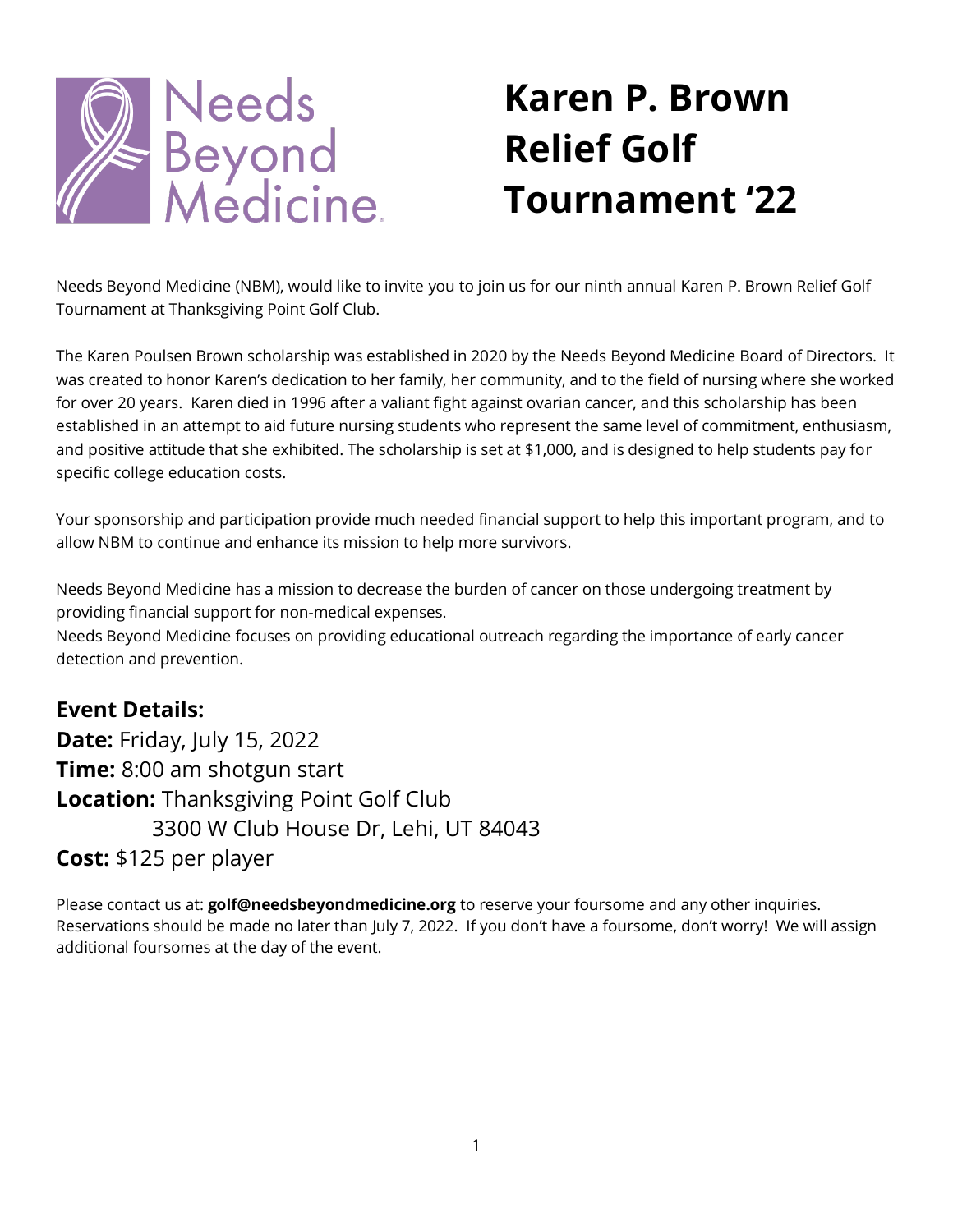

# **Karen P. Brown Relief Golf Tournament '22**

Needs Beyond Medicine (NBM), would like to invite you to join us for our ninth annual Karen P. Brown Relief Golf Tournament at Thanksgiving Point Golf Club.

The Karen Poulsen Brown scholarship was established in 2020 by the Needs Beyond Medicine Board of Directors. It was created to honor Karen's dedication to her family, her community, and to the field of nursing where she worked for over 20 years. Karen died in 1996 after a valiant fight against ovarian cancer, and this scholarship has been established in an attempt to aid future nursing students who represent the same level of commitment, enthusiasm, and positive attitude that she exhibited. The scholarship is set at \$1,000, and is designed to help students pay for specific college education costs.

Your sponsorship and participation provide much needed financial support to help this important program, and to allow NBM to continue and enhance its mission to help more survivors.

Needs Beyond Medicine has a mission to decrease the burden of cancer on those undergoing treatment by providing financial support for non-medical expenses.

Needs Beyond Medicine focuses on providing educational outreach regarding the importance of early cancer detection and prevention.

## **Event Details:**

**Date:** Friday, July 15, 2022 **Time:** 8:00 am shotgun start **Location:** Thanksgiving Point Golf Club 3300 W Club House Dr, Lehi, UT 84043 **Cost:** \$125 per player

Please contact us at: **golf@needsbeyondmedicine.org** to reserve your foursome and any other inquiries. Reservations should be made no later than July 7, 2022. If you don't have a foursome, don't worry! We will assign additional foursomes at the day of the event.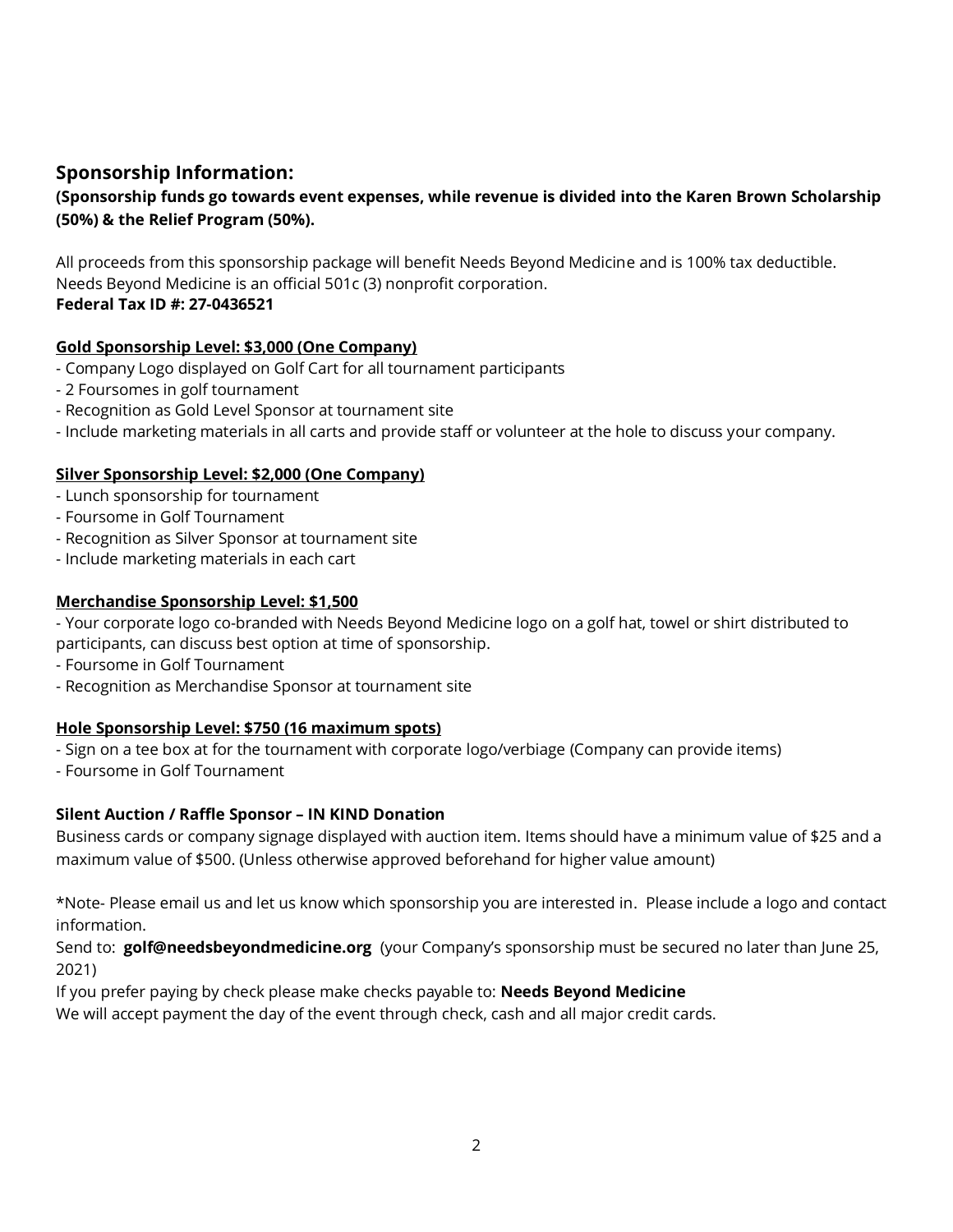### **Sponsorship Information:**

#### **(Sponsorship funds go towards event expenses, while revenue is divided into the Karen Brown Scholarship (50%) & the Relief Program (50%).**

All proceeds from this sponsorship package will benefit Needs Beyond Medicine and is 100% tax deductible. Needs Beyond Medicine is an official 501c (3) nonprofit corporation. **Federal Tax ID #: 27-0436521**

#### **Gold Sponsorship Level: \$3,000 (One Company)**

- Company Logo displayed on Golf Cart for all tournament participants
- 2 Foursomes in golf tournament
- Recognition as Gold Level Sponsor at tournament site
- Include marketing materials in all carts and provide staff or volunteer at the hole to discuss your company.

#### **Silver Sponsorship Level: \$2,000 (One Company)**

- Lunch sponsorship for tournament
- Foursome in Golf Tournament
- Recognition as Silver Sponsor at tournament site
- Include marketing materials in each cart

#### **Merchandise Sponsorship Level: \$1,500**

- Your corporate logo co-branded with Needs Beyond Medicine logo on a golf hat, towel or shirt distributed to participants, can discuss best option at time of sponsorship.

- Foursome in Golf Tournament
- Recognition as Merchandise Sponsor at tournament site

#### **Hole Sponsorship Level: \$750 (16 maximum spots)**

- Sign on a tee box at for the tournament with corporate logo/verbiage (Company can provide items)

- Foursome in Golf Tournament

#### **Silent Auction / Raffle Sponsor – IN KIND Donation**

Business cards or company signage displayed with auction item. Items should have a minimum value of \$25 and a maximum value of \$500. (Unless otherwise approved beforehand for higher value amount)

\*Note- Please email us and let us know which sponsorship you are interested in. Please include a logo and contact information.

Send to: **[golf@needsbeyondmedicine.org](mailto:golf@needsbeyondmedicine.org)** (your Company's sponsorship must be secured no later than June 25, 2021)

If you prefer paying by check please make checks payable to: **Needs Beyond Medicine**

We will accept payment the day of the event through check, cash and all major credit cards.